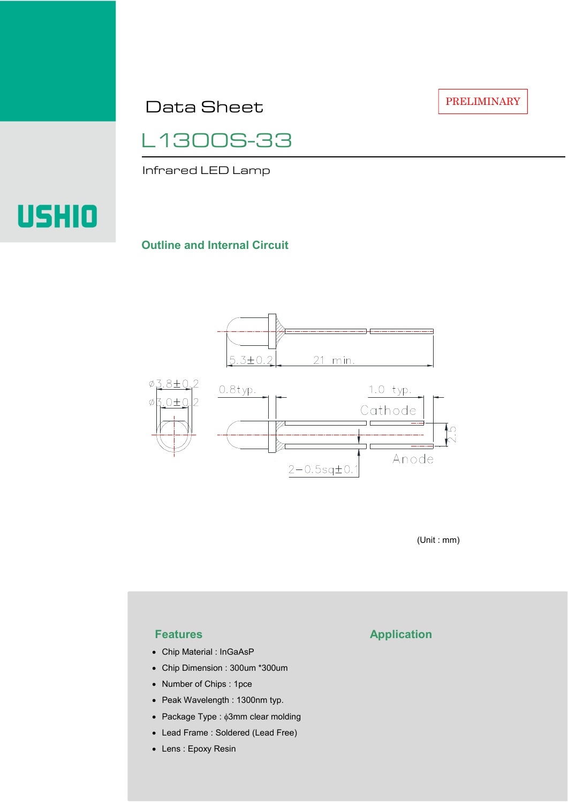Data Sheet

PRELIMINARY

L1300S-33

Infrared LED Lamp

# USHIO

### **Outline and Internal Circuit**



(Unit : mm)

- Chip Material : InGaAsP
- Chip Dimension : 300um \*300um
- Number of Chips : 1pce
- Peak Wavelength : 1300nm typ.
- Package Type : φ3mm clear molding
- Lead Frame : Soldered (Lead Free)
- Lens : Epoxy Resin

# **Features Application**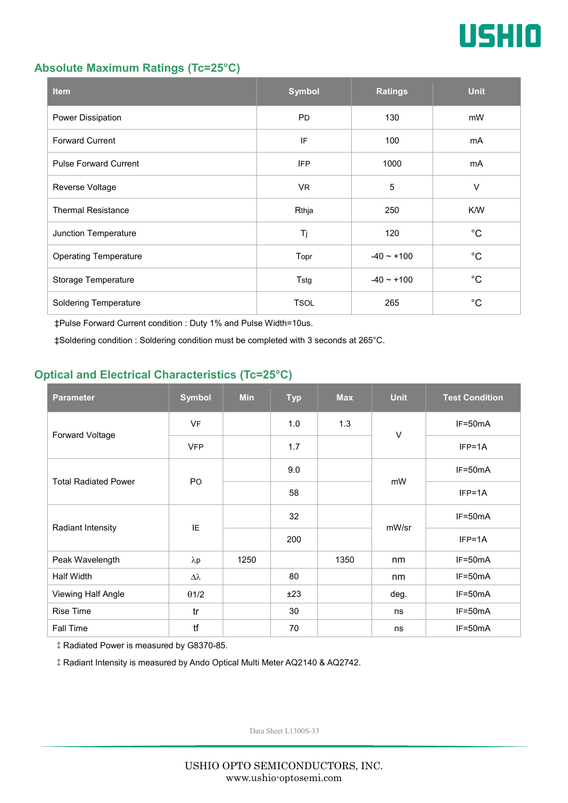

### **Absolute Maximum Ratings (Tc=25°C)**

| <b>Item</b>                  | <b>Symbol</b> | <b>Ratings</b>  | <b>Unit</b> |
|------------------------------|---------------|-----------------|-------------|
| Power Dissipation            | <b>PD</b>     | 130             | mW          |
| <b>Forward Current</b>       | IF            | 100             | mA          |
| <b>Pulse Forward Current</b> | <b>IFP</b>    | 1000            | mA          |
| Reverse Voltage              | VR.           | $\overline{5}$  | $\vee$      |
| <b>Thermal Resistance</b>    | Rthja         | 250             | K/W         |
| Junction Temperature         | Tj            | 120             | $^{\circ}C$ |
| <b>Operating Temperature</b> | Topr          | $-40 \sim +100$ | $^{\circ}C$ |
| Storage Temperature          | Tstg          | $-40 - +100$    | $^{\circ}C$ |
| <b>Soldering Temperature</b> | <b>TSOL</b>   | 265             | $^{\circ}C$ |

‡Pulse Forward Current condition : Duty 1% and Pulse Width=10us.

‡Soldering condition : Soldering condition must be completed with 3 seconds at 265°C.

# **Optical and Electrical Characteristics (Tc=25°C)**

| <b>Parameter</b>            | <b>Symbol</b>  | <b>Min</b> | <b>Typ</b> | <b>Max</b> | <b>Unit</b> | <b>Test Condition</b> |
|-----------------------------|----------------|------------|------------|------------|-------------|-----------------------|
| Forward Voltage             | <b>VF</b>      |            | 1.0        | 1.3        | $\vee$      | IF=50mA               |
|                             | <b>VFP</b>     |            | 1.7        |            |             | $IFP=1A$              |
| <b>Total Radiated Power</b> | P <sub>O</sub> |            | 9.0        |            | mW          | $IF=50mA$             |
|                             |                |            | 58         |            |             | $IFP=1A$              |
| Radiant Intensity           | IE             |            | 32         |            | mW/sr       | $IF=50mA$             |
|                             |                |            | 200        |            |             | $IFP=1A$              |
| Peak Wavelength             | $\lambda p$    | 1250       |            | 1350       | nm          | $IF=50mA$             |
| Half Width                  | Δλ             |            | 80         |            | nm          | $IF=50mA$             |
| Viewing Half Angle          | $\theta$ 1/2   |            | ±23        |            | deg.        | $IF=50mA$             |
| <b>Rise Time</b>            | tr             |            | 30         |            | ns          | $IF=50mA$             |
| <b>Fall Time</b>            | tf             |            | 70         |            | ns          | $IF=50mA$             |

‡Radiated Power is measured by G8370-85.

‡Radiant Intensity is measured by Ando Optical Multi Meter AQ2140 & AQ2742.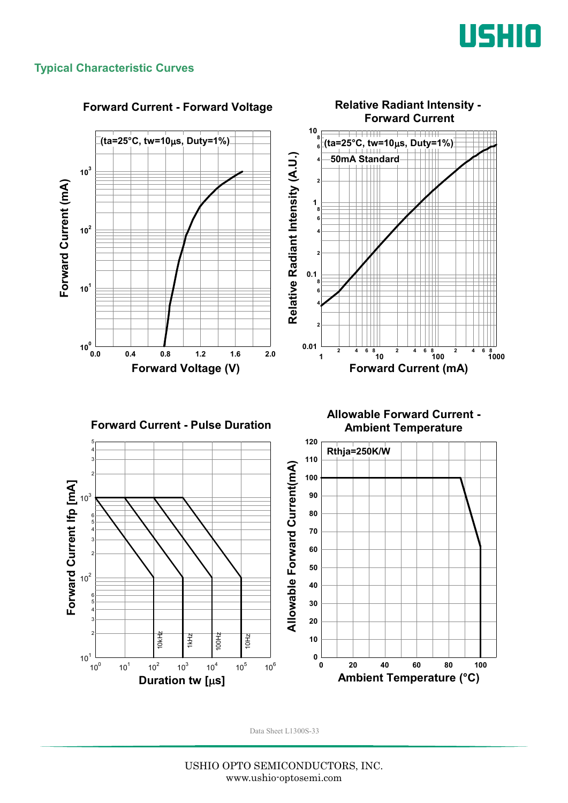

### **Typical Characteristic Curves**



#### **Forward Current - Forward Voltage**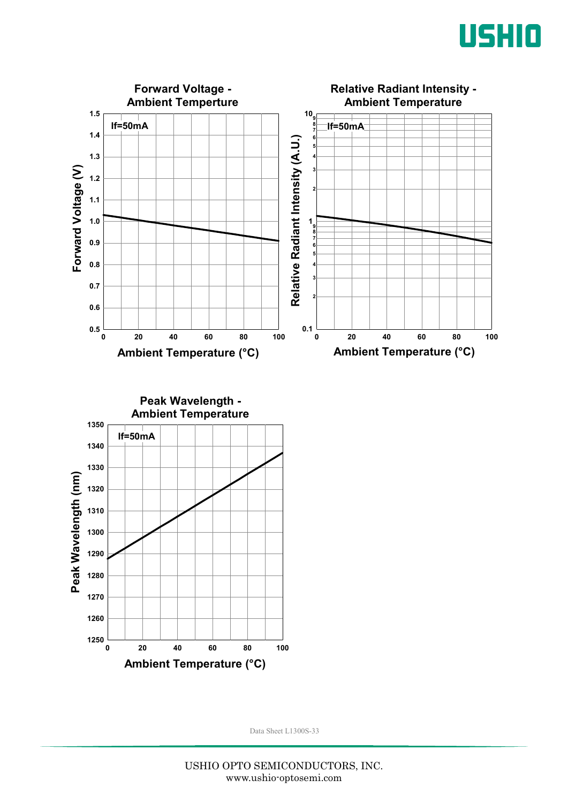



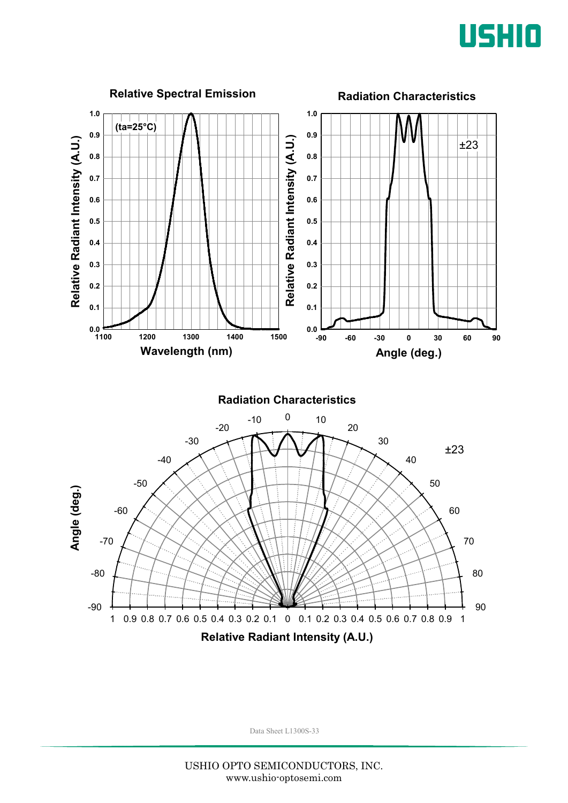